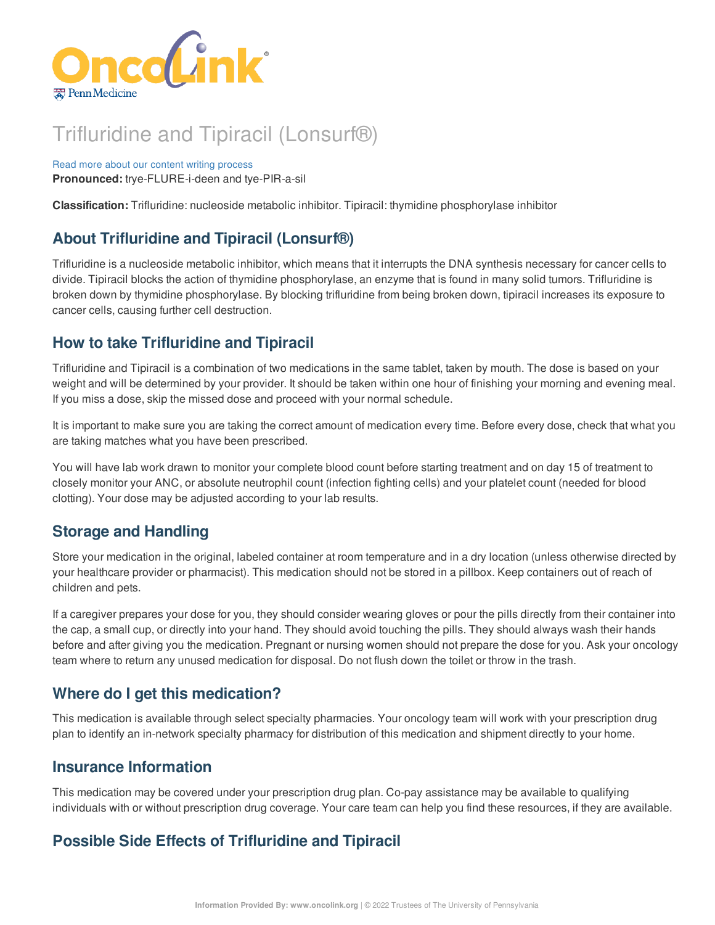

# Trifluridine and Tipiracil (Lonsurf®)

Read more about our content writing [process](https://www.oncolink.org/chemo-printer/25966?theme=oncolink/about/content) **Pronounced:** trye-FLURE-i-deen and tye-PIR-a-sil

**Classification:** Trifluridine: nucleoside metabolic inhibitor. Tipiracil: thymidine phosphorylase inhibitor

# **About Trifluridine and Tipiracil (Lonsurf®)**

Trifluridine is a nucleoside metabolic inhibitor, which means that it interrupts the DNA synthesis necessary for cancer cells to divide. Tipiracil blocks the action of thymidine phosphorylase, an enzyme that is found in many solid tumors. Trifluridine is broken down by thymidine phosphorylase. By blocking trifluridine from being broken down, tipiracil increases its exposure to cancer cells, causing further cell destruction.

# **How to take Trifluridine and Tipiracil**

Trifluridine and Tipiracil is a combination of two medications in the same tablet, taken by mouth. The dose is based on your weight and will be determined by your provider. It should be taken within one hour of finishing your morning and evening meal. If you miss a dose, skip the missed dose and proceed with your normal schedule.

It is important to make sure you are taking the correct amount of medication every time. Before every dose, check that what you are taking matches what you have been prescribed.

You will have lab work drawn to monitor your complete blood count before starting treatment and on day 15 of treatment to closely monitor your ANC, or absolute neutrophil count (infection fighting cells) and your platelet count (needed for blood clotting). Your dose may be adjusted according to your lab results.

## **Storage and Handling**

Store your medication in the original, labeled container at room temperature and in a dry location (unless otherwise directed by your healthcare provider or pharmacist). This medication should not be stored in a pillbox. Keep containers out of reach of children and pets.

If a caregiver prepares your dose for you, they should consider wearing gloves or pour the pills directly from their container into the cap, a small cup, or directly into your hand. They should avoid touching the pills. They should always wash their hands before and after giving you the medication. Pregnant or nursing women should not prepare the dose for you. Ask your oncology team where to return any unused medication for disposal. Do not flush down the toilet or throw in the trash.

# **Where do I get this medication?**

This medication is available through select specialty pharmacies. Your oncology team will work with your prescription drug plan to identify an in-network specialty pharmacy for distribution of this medication and shipment directly to your home.

## **Insurance Information**

This medication may be covered under your prescription drug plan. Co-pay assistance may be available to qualifying individuals with or without prescription drug coverage. Your care team can help you find these resources, if they are available.

# **Possible Side Effects of Trifluridine and Tipiracil**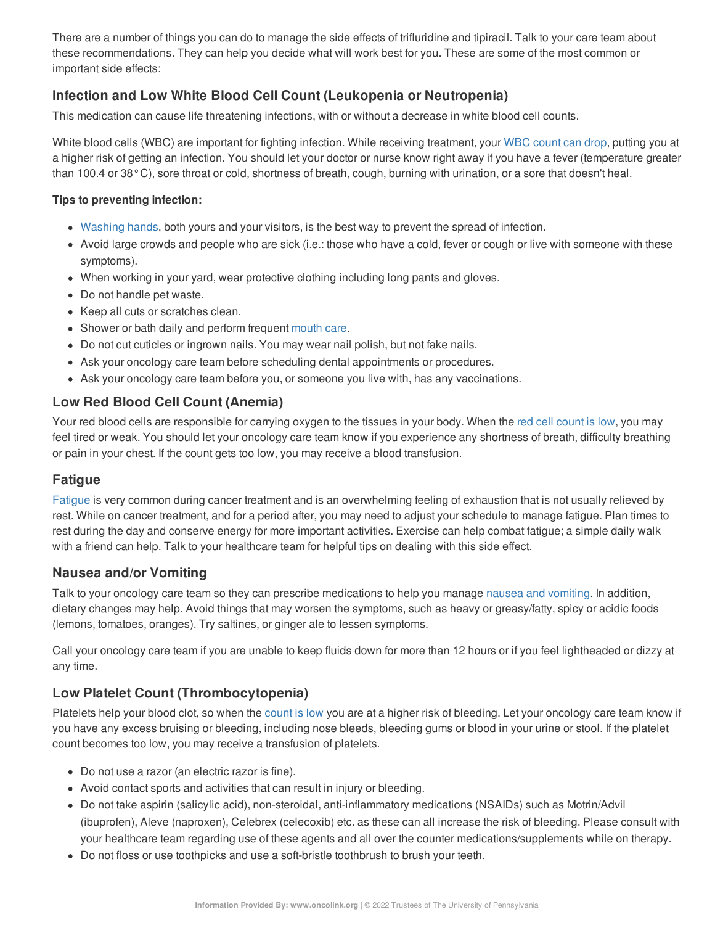There are a number of things you can do to manage the side effects of trifluridine and tipiracil. Talk to your care team about these recommendations. They can help you decide what will work best for you. These are some of the most common or important side effects:

#### **Infection and Low White Blood Cell Count (Leukopenia or Neutropenia)**

This medication can cause life threatening infections, with or without a decrease in white blood cell counts.

White blood cells (WBC) are important for fighting infection. While receiving treatment, your WBC [count](https://www.oncolink.org/chemo-printer/25966?theme=oncolink/support/side-effects/low-blood-counts/neutropenia) can drop, putting you at a higher risk of getting an infection. You should let your doctor or nurse know right away if you have a fever (temperature greater than 100.4 or 38°C), sore throat or cold, shortness of breath, cough, burning with urination, or a sore that doesn't heal.

#### **Tips to preventing infection:**

- [Washing](https://www.oncolink.org/chemo-printer/25966?theme=oncolink/cancer-treatment/hospital-helpers/hand-hygiene-hand-washing) hands, both yours and your visitors, is the best way to prevent the spread of infection.
- Avoid large crowds and people who are sick (i.e.: those who have a cold, fever or cough or live with someone with these symptoms).
- When working in your yard, wear protective clothing including long pants and gloves.
- Do not handle pet waste.
- Keep all cuts or scratches clean.
- Shower or bath daily and perform frequent [mouth](https://www.oncolink.org/chemo-printer/25966?theme=oncolink/support/side-effects/gastrointestinal-side-effects/mucositis/mucositis-mouth-sores-oral-care-tip-sheet) care.
- Do not cut cuticles or ingrown nails. You may wear nail polish, but not fake nails.
- Ask your oncology care team before scheduling dental appointments or procedures.
- Ask your oncology care team before you, or someone you live with, has any vaccinations.

#### **Low Red Blood Cell Count (Anemia)**

Your red blood cells are responsible for carrying oxygen to the tissues in your body. When the red cell [count](https://www.oncolink.org/chemo-printer/25966?theme=oncolink/support/side-effects/low-blood-counts/low-red-blood-cell-count-anemia) is low, you may feel tired or weak. You should let your oncology care team know if you experience any shortness of breath, difficulty breathing or pain in your chest. If the count gets too low, you may receive a blood transfusion.

#### **Fatigue**

[Fatigue](https://www.oncolink.org/chemo-printer/25966?theme=oncolink/support/side-effects/other-side-effects/fatigue-and-cancer/managing-fatigue) is very common during cancer treatment and is an overwhelming feeling of exhaustion that is not usually relieved by rest. While on cancer treatment, and for a period after, you may need to adjust your schedule to manage fatigue. Plan times to rest during the day and conserve energy for more important activities. Exercise can help combat fatigue; a simple daily walk with a friend can help. Talk to your healthcare team for helpful tips on dealing with this side effect.

#### **Nausea and/or Vomiting**

Talk to your oncology care team so they can prescribe medications to help you manage nausea and [vomiting](https://www.oncolink.org/chemo-printer/25966?theme=oncolink/support/side-effects/gastrointestinal-side-effects/nausea-and-vomiting). In addition, dietary changes may help. Avoid things that may worsen the symptoms, such as heavy or greasy/fatty, spicy or acidic foods (lemons, tomatoes, oranges). Try saltines, or ginger ale to lessen symptoms.

Call your oncology care team if you are unable to keep fluids down for more than 12 hours or if you feel lightheaded or dizzy at any time.

#### **Low Platelet Count (Thrombocytopenia)**

Platelets help your blood clot, so when the [count](https://www.oncolink.org/chemo-printer/25966?theme=oncolink/support/side-effects/low-blood-counts/low-platelet-count-thrombocytopenia) is low you are at a higher risk of bleeding. Let your oncology care team know if you have any excess bruising or bleeding, including nose bleeds, bleeding gums or blood in your urine or stool. If the platelet count becomes too low, you may receive a transfusion of platelets.

- Do not use a razor (an electric razor is fine).
- Avoid contact sports and activities that can result in injury or bleeding.
- Do not take aspirin (salicylic acid), non-steroidal, anti-inflammatory medications (NSAIDs) such as Motrin/Advil (ibuprofen), Aleve (naproxen), Celebrex (celecoxib) etc. as these can all increase the risk of bleeding. Please consult with your healthcare team regarding use of these agents and all over the counter medications/supplements while on therapy.
- Do not floss or use toothpicks and use a soft-bristle toothbrush to brush your teeth.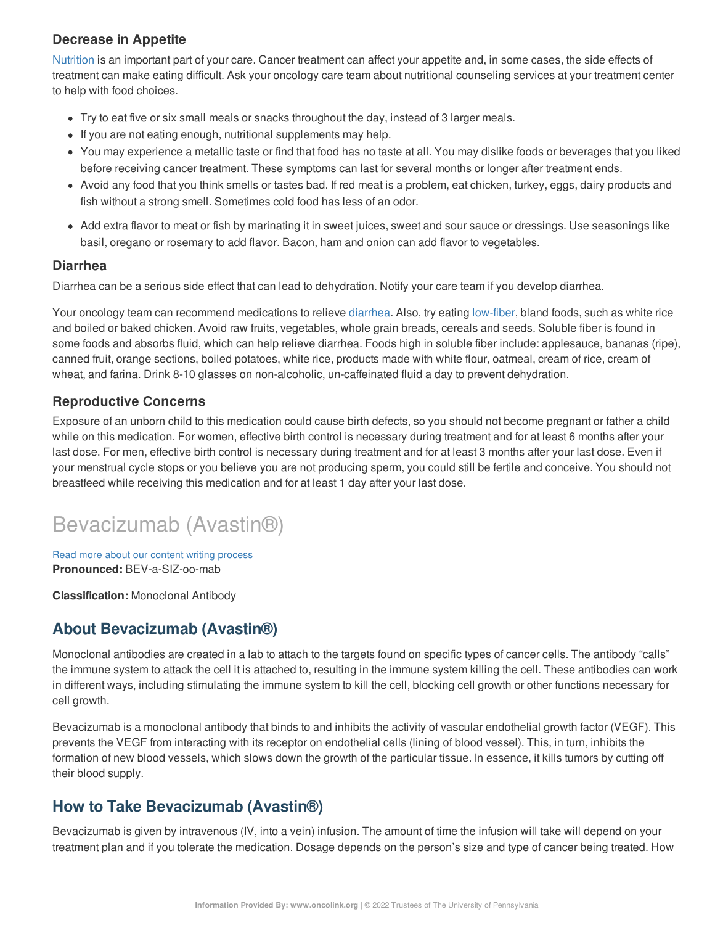#### **Decrease in Appetite**

[Nutrition](https://www.oncolink.org/chemo-printer/25966?theme=oncolink/support/nutrition-and-cancer/during-and-after-treatment) is an important part of your care. Cancer treatment can affect your appetite and, in some cases, the side effects of treatment can make eating difficult. Ask your oncology care team about nutritional counseling services at your treatment center to help with food choices.

- Try to eat five or six small meals or snacks throughout the day, instead of 3 larger meals.
- If you are not eating enough, nutritional supplements may help.
- You may experience a metallic taste or find that food has no taste at all. You may dislike foods or beverages that you liked before receiving cancer treatment. These symptoms can last for several months or longer after treatment ends.
- Avoid any food that you think smells or tastes bad. If red meat is a problem, eat chicken, turkey, eggs, dairy products and fish without a strong smell. Sometimes cold food has less of an odor.
- Add extra flavor to meat or fish by marinating it in sweet juices, sweet and sour sauce or dressings. Use seasonings like basil, oregano or rosemary to add flavor. Bacon, ham and onion can add flavor to vegetables.

#### **Diarrhea**

Diarrhea can be a serious side effect that can lead to dehydration. Notify your care team if you develop diarrhea.

Your oncology team can recommend medications to relieve [diarrhea](https://www.oncolink.org/chemo-printer/25966?theme=oncolink/support/side-effects/gastrointestinal-side-effects/diarrhea/diarrhea). Also, try eating [low-fiber](https://www.oncolink.org/chemo-printer/25966?theme=oncolink/support/nutrition-and-cancer/during-and-after-treatment/low-fiber-diet-for-diarrhea), bland foods, such as white rice and boiled or baked chicken. Avoid raw fruits, vegetables, whole grain breads, cereals and seeds. Soluble fiber is found in some foods and absorbs fluid, which can help relieve diarrhea. Foods high in soluble fiber include: applesauce, bananas (ripe), canned fruit, orange sections, boiled potatoes, white rice, products made with white flour, oatmeal, cream of rice, cream of wheat, and farina. Drink 8-10 glasses on non-alcoholic, un-caffeinated fluid a day to prevent dehydration.

#### **Reproductive Concerns**

Exposure of an unborn child to this medication could cause birth defects, so you should not become pregnant or father a child while on this medication. For women, effective birth control is necessary during treatment and for at least 6 months after your last dose. For men, effective birth control is necessary during treatment and for at least 3 months after your last dose. Even if your menstrual cycle stops or you believe you are not producing sperm, you could still be fertile and conceive. You should not breastfeed while receiving this medication and for at least 1 day after your last dose.

# Bevacizumab (Avastin®)

Read more about our content writing [process](https://www.oncolink.org/chemo-printer/25966?theme=oncolink/about/content) **Pronounced:** BEV-a-SIZ-oo-mab

**Classification:** Monoclonal Antibody

## **About Bevacizumab (Avastin®)**

Monoclonal antibodies are created in a lab to attach to the targets found on specific types of cancer cells. The antibody "calls" the immune system to attack the cell it is attached to, resulting in the immune system killing the cell. These antibodies can work in different ways, including stimulating the immune system to kill the cell, blocking cell growth or other functions necessary for cell growth.

Bevacizumab is a monoclonal antibody that binds to and inhibits the activity of vascular endothelial growth factor (VEGF). This prevents the VEGF from interacting with its receptor on endothelial cells (lining of blood vessel). This, in turn, inhibits the formation of new blood vessels, which slows down the growth of the particular tissue. In essence, it kills tumors by cutting off their blood supply.

## **How to Take Bevacizumab (Avastin®)**

Bevacizumab is given by intravenous (IV, into a vein) infusion. The amount of time the infusion will take will depend on your treatment plan and if you tolerate the medication. Dosage depends on the person's size and type of cancer being treated. How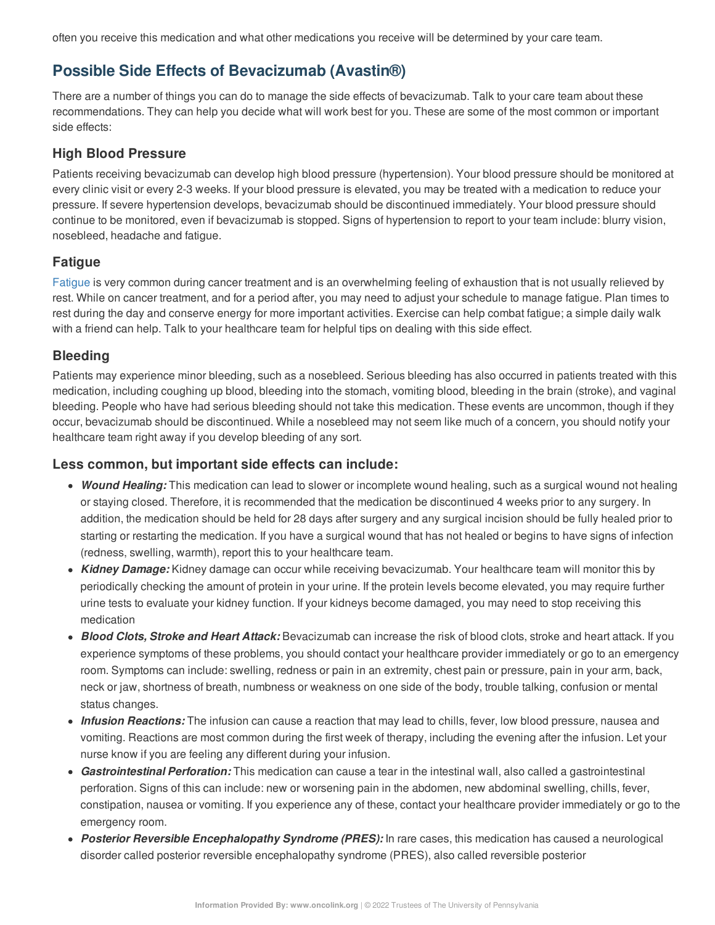often you receive this medication and what other medications you receive will be determined by your care team.

## **Possible Side Effects of Bevacizumab (Avastin®)**

There are a number of things you can do to manage the side effects of bevacizumab. Talk to your care team about these recommendations. They can help you decide what will work best for you. These are some of the most common or important side effects:

#### **High Blood Pressure**

Patients receiving bevacizumab can develop high blood pressure (hypertension). Your blood pressure should be monitored at every clinic visit or every 2-3 weeks. If your blood pressure is elevated, you may be treated with a medication to reduce your pressure. If severe hypertension develops, bevacizumab should be discontinued immediately. Your blood pressure should continue to be monitored, even if bevacizumab is stopped. Signs of hypertension to report to your team include: blurry vision, nosebleed, headache and fatigue.

### **Fatigue**

[Fatigue](https://www.oncolink.org/chemo-printer/25966?theme=oncolink/support/side-effects/other-side-effects/fatigue-and-cancer/managing-fatigue) is very common during cancer treatment and is an overwhelming feeling of exhaustion that is not usually relieved by rest. While on cancer treatment, and for a period after, you may need to adjust your schedule to manage fatigue. Plan times to rest during the day and conserve energy for more important activities. Exercise can help combat fatigue; a simple daily walk with a friend can help. Talk to your healthcare team for helpful tips on dealing with this side effect.

#### **Bleeding**

Patients may experience minor bleeding, such as a nosebleed. Serious bleeding has also occurred in patients treated with this medication, including coughing up blood, bleeding into the stomach, vomiting blood, bleeding in the brain (stroke), and vaginal bleeding. People who have had serious bleeding should not take this medication. These events are uncommon, though if they occur, bevacizumab should be discontinued. While a nosebleed may not seem like much of a concern, you should notify your healthcare team right away if you develop bleeding of any sort.

#### **Less common, but important side effects can include:**

- *Wound Healing:* This medication can lead to slower or incomplete wound healing, such as a surgical wound not healing or staying closed. Therefore, it is recommended that the medication be discontinued 4 weeks prior to any surgery. In addition, the medication should be held for 28 days after surgery and any surgical incision should be fully healed prior to starting or restarting the medication. If you have a surgical wound that has not healed or begins to have signs of infection (redness, swelling, warmth), report this to your healthcare team.
- *Kidney Damage:* Kidney damage can occur while receiving bevacizumab. Your healthcare team will monitor this by periodically checking the amount of protein in your urine. If the protein levels become elevated, you may require further urine tests to evaluate your kidney function. If your kidneys become damaged, you may need to stop receiving this medication
- *Blood Clots, Stroke and Heart Attack:* Bevacizumab can increase the risk of blood clots, stroke and heart attack. If you experience symptoms of these problems, you should contact your healthcare provider immediately or go to an emergency room. Symptoms can include: swelling, redness or pain in an extremity, chest pain or pressure, pain in your arm, back, neck or jaw, shortness of breath, numbness or weakness on one side of the body, trouble talking, confusion or mental status changes.
- *Infusion Reactions:* The infusion can cause a reaction that may lead to chills, fever, low blood pressure, nausea and vomiting. Reactions are most common during the first week of therapy, including the evening after the infusion. Let your nurse know if you are feeling any different during your infusion.
- *Gastrointestinal Perforation:* This medication can cause a tear in the intestinal wall, also called a gastrointestinal perforation. Signs of this can include: new or worsening pain in the abdomen, new abdominal swelling, chills, fever, constipation, nausea or vomiting. If you experience any of these, contact your healthcare provider immediately or go to the emergency room.
- *Posterior Reversible Encephalopathy Syndrome (PRES):* In rare cases, this medication has caused a neurological disorder called posterior reversible encephalopathy syndrome (PRES), also called reversible posterior